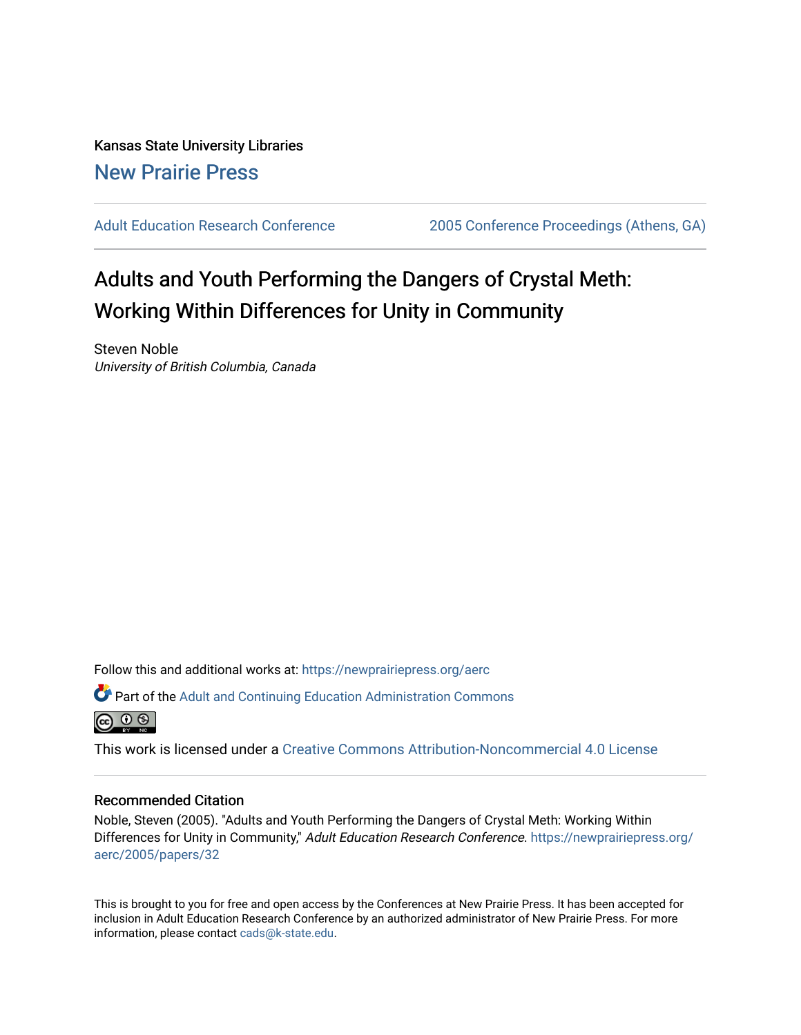Kansas State University Libraries [New Prairie Press](https://newprairiepress.org/) 

[Adult Education Research Conference](https://newprairiepress.org/aerc) [2005 Conference Proceedings \(Athens, GA\)](https://newprairiepress.org/aerc/2005) 

# Adults and Youth Performing the Dangers of Crystal Meth: Working Within Differences for Unity in Community

Steven Noble University of British Columbia, Canada

Follow this and additional works at: [https://newprairiepress.org/aerc](https://newprairiepress.org/aerc?utm_source=newprairiepress.org%2Faerc%2F2005%2Fpapers%2F32&utm_medium=PDF&utm_campaign=PDFCoverPages)

Part of the [Adult and Continuing Education Administration Commons](http://network.bepress.com/hgg/discipline/789?utm_source=newprairiepress.org%2Faerc%2F2005%2Fpapers%2F32&utm_medium=PDF&utm_campaign=PDFCoverPages)



This work is licensed under a [Creative Commons Attribution-Noncommercial 4.0 License](https://creativecommons.org/licenses/by-nc/4.0/)

### Recommended Citation

Noble, Steven (2005). "Adults and Youth Performing the Dangers of Crystal Meth: Working Within Differences for Unity in Community," Adult Education Research Conference. [https://newprairiepress.org/](https://newprairiepress.org/aerc/2005/papers/32) [aerc/2005/papers/32](https://newprairiepress.org/aerc/2005/papers/32) 

This is brought to you for free and open access by the Conferences at New Prairie Press. It has been accepted for inclusion in Adult Education Research Conference by an authorized administrator of New Prairie Press. For more information, please contact [cads@k-state.edu](mailto:cads@k-state.edu).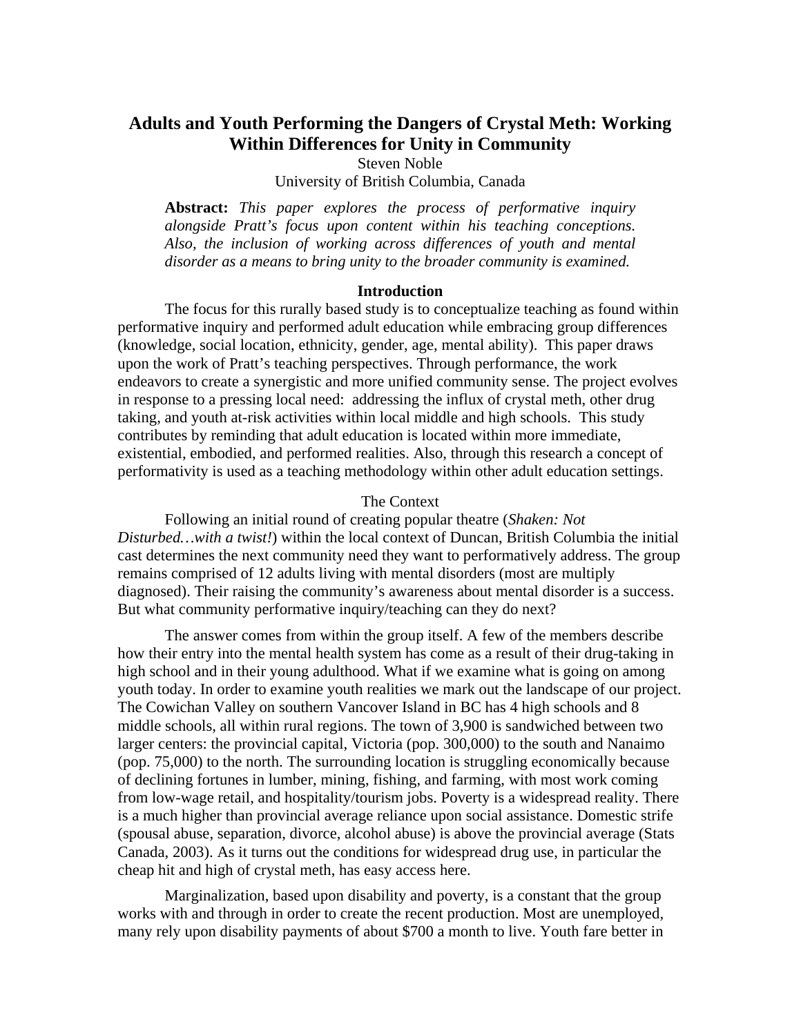# **Adults and Youth Performing the Dangers of Crystal Meth: Working Within Differences for Unity in Community**

Steven Noble University of British Columbia, Canada

**Abstract:** *This paper explores the process of performative inquiry alongside Pratt's focus upon content within his teaching conceptions. Also, the inclusion of working across differences of youth and mental disorder as a means to bring unity to the broader community is examined.* 

#### **Introduction**

The focus for this rurally based study is to conceptualize teaching as found within performative inquiry and performed adult education while embracing group differences (knowledge, social location, ethnicity, gender, age, mental ability). This paper draws upon the work of Pratt's teaching perspectives. Through performance, the work endeavors to create a synergistic and more unified community sense. The project evolves in response to a pressing local need: addressing the influx of crystal meth, other drug taking, and youth at-risk activities within local middle and high schools. This study contributes by reminding that adult education is located within more immediate, existential, embodied, and performed realities. Also, through this research a concept of performativity is used as a teaching methodology within other adult education settings.

#### The Context

Following an initial round of creating popular theatre (*Shaken: Not Disturbed…with a twist!*) within the local context of Duncan, British Columbia the initial cast determines the next community need they want to performatively address. The group remains comprised of 12 adults living with mental disorders (most are multiply diagnosed). Their raising the community's awareness about mental disorder is a success. But what community performative inquiry/teaching can they do next?

The answer comes from within the group itself. A few of the members describe how their entry into the mental health system has come as a result of their drug-taking in high school and in their young adulthood. What if we examine what is going on among youth today. In order to examine youth realities we mark out the landscape of our project. The Cowichan Valley on southern Vancover Island in BC has 4 high schools and 8 middle schools, all within rural regions. The town of 3,900 is sandwiched between two larger centers: the provincial capital, Victoria (pop. 300,000) to the south and Nanaimo (pop. 75,000) to the north. The surrounding location is struggling economically because of declining fortunes in lumber, mining, fishing, and farming, with most work coming from low-wage retail, and hospitality/tourism jobs. Poverty is a widespread reality. There is a much higher than provincial average reliance upon social assistance. Domestic strife (spousal abuse, separation, divorce, alcohol abuse) is above the provincial average (Stats Canada, 2003). As it turns out the conditions for widespread drug use, in particular the cheap hit and high of crystal meth, has easy access here.

Marginalization, based upon disability and poverty, is a constant that the group works with and through in order to create the recent production. Most are unemployed, many rely upon disability payments of about \$700 a month to live. Youth fare better in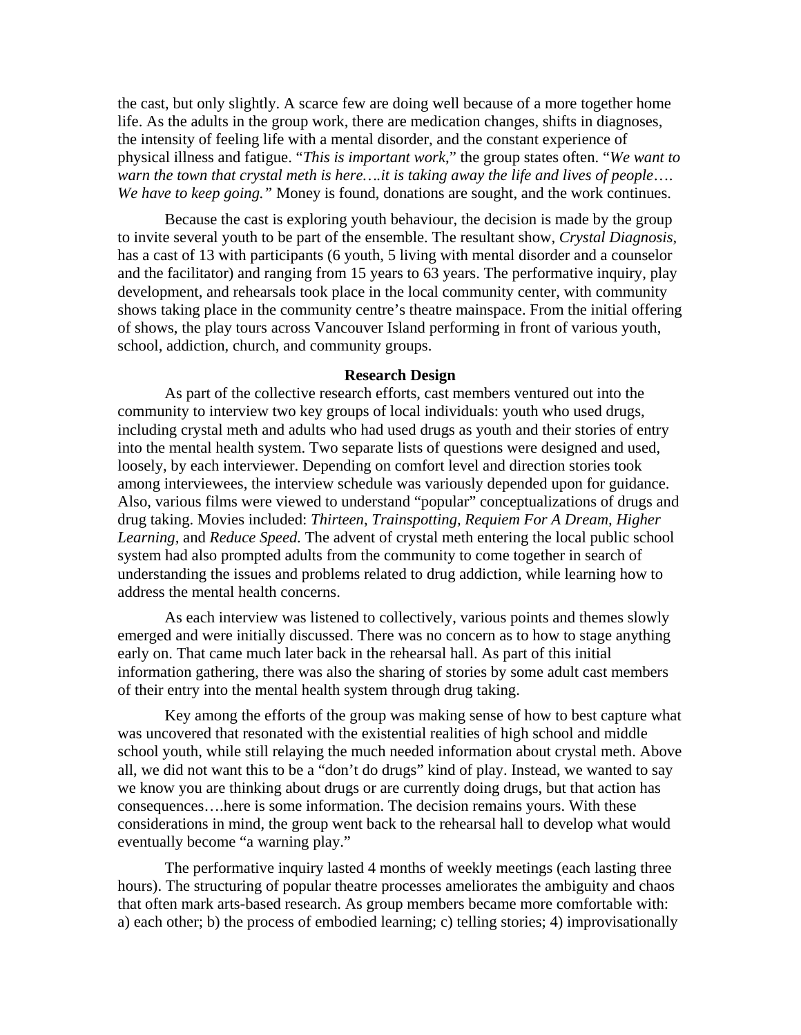the cast, but only slightly. A scarce few are doing well because of a more together home life. As the adults in the group work, there are medication changes, shifts in diagnoses, the intensity of feeling life with a mental disorder, and the constant experience of physical illness and fatigue. "*This is important work*," the group states often. "*We want to warn the town that crystal meth is here….it is taking away the life and lives of people*…. *We have to keep going."* Money is found, donations are sought, and the work continues.

Because the cast is exploring youth behaviour, the decision is made by the group to invite several youth to be part of the ensemble. The resultant show, *Crystal Diagnosis*, has a cast of 13 with participants (6 youth, 5 living with mental disorder and a counselor and the facilitator) and ranging from 15 years to 63 years. The performative inquiry, play development, and rehearsals took place in the local community center, with community shows taking place in the community centre's theatre mainspace. From the initial offering of shows, the play tours across Vancouver Island performing in front of various youth, school, addiction, church, and community groups.

#### **Research Design**

As part of the collective research efforts, cast members ventured out into the community to interview two key groups of local individuals: youth who used drugs, including crystal meth and adults who had used drugs as youth and their stories of entry into the mental health system. Two separate lists of questions were designed and used, loosely, by each interviewer. Depending on comfort level and direction stories took among interviewees, the interview schedule was variously depended upon for guidance. Also, various films were viewed to understand "popular" conceptualizations of drugs and drug taking. Movies included: *Thirteen*, *Trainspotting, Requiem For A Dream, Higher Learning,* and *Reduce Speed.* The advent of crystal meth entering the local public school system had also prompted adults from the community to come together in search of understanding the issues and problems related to drug addiction, while learning how to address the mental health concerns.

As each interview was listened to collectively, various points and themes slowly emerged and were initially discussed. There was no concern as to how to stage anything early on. That came much later back in the rehearsal hall. As part of this initial information gathering, there was also the sharing of stories by some adult cast members of their entry into the mental health system through drug taking.

Key among the efforts of the group was making sense of how to best capture what was uncovered that resonated with the existential realities of high school and middle school youth, while still relaying the much needed information about crystal meth. Above all, we did not want this to be a "don't do drugs" kind of play. Instead, we wanted to say we know you are thinking about drugs or are currently doing drugs, but that action has consequences….here is some information. The decision remains yours. With these considerations in mind, the group went back to the rehearsal hall to develop what would eventually become "a warning play."

The performative inquiry lasted 4 months of weekly meetings (each lasting three hours). The structuring of popular theatre processes ameliorates the ambiguity and chaos that often mark arts-based research. As group members became more comfortable with: a) each other; b) the process of embodied learning; c) telling stories; 4) improvisationally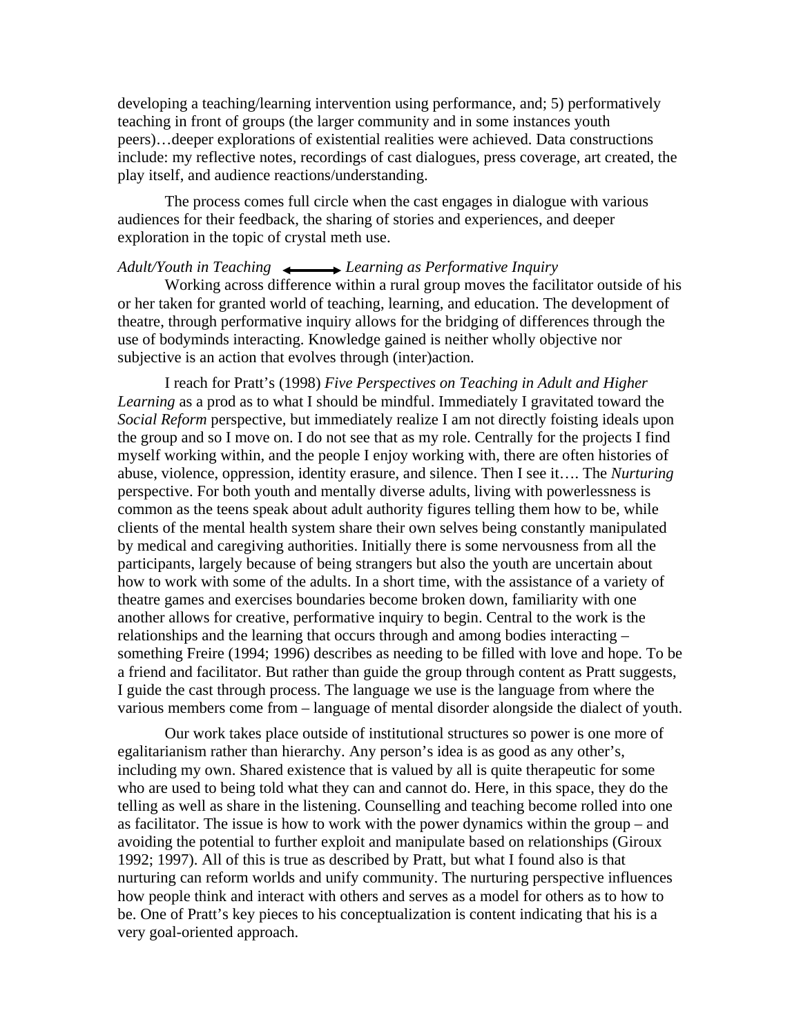developing a teaching/learning intervention using performance, and; 5) performatively teaching in front of groups (the larger community and in some instances youth peers)…deeper explorations of existential realities were achieved. Data constructions include: my reflective notes, recordings of cast dialogues, press coverage, art created, the play itself, and audience reactions/understanding.

The process comes full circle when the cast engages in dialogue with various audiences for their feedback, the sharing of stories and experiences, and deeper exploration in the topic of crystal meth use.

## *Adult/Youth in Teaching*  $\longrightarrow$  *Learning as Performative Inquiry*

Working across difference within a rural group moves the facilitator outside of his or her taken for granted world of teaching, learning, and education. The development of theatre, through performative inquiry allows for the bridging of differences through the use of bodyminds interacting. Knowledge gained is neither wholly objective nor subjective is an action that evolves through (inter)action.

I reach for Pratt's (1998) *Five Perspectives on Teaching in Adult and Higher Learning* as a prod as to what I should be mindful. Immediately I gravitated toward the *Social Reform* perspective*,* but immediately realize I am not directly foisting ideals upon the group and so I move on. I do not see that as my role. Centrally for the projects I find myself working within, and the people I enjoy working with, there are often histories of abuse, violence, oppression, identity erasure, and silence. Then I see it…. The *Nurturing*  perspective. For both youth and mentally diverse adults, living with powerlessness is common as the teens speak about adult authority figures telling them how to be, while clients of the mental health system share their own selves being constantly manipulated by medical and caregiving authorities. Initially there is some nervousness from all the participants, largely because of being strangers but also the youth are uncertain about how to work with some of the adults. In a short time, with the assistance of a variety of theatre games and exercises boundaries become broken down, familiarity with one another allows for creative, performative inquiry to begin. Central to the work is the relationships and the learning that occurs through and among bodies interacting – something Freire (1994; 1996) describes as needing to be filled with love and hope. To be a friend and facilitator. But rather than guide the group through content as Pratt suggests, I guide the cast through process. The language we use is the language from where the various members come from – language of mental disorder alongside the dialect of youth.

Our work takes place outside of institutional structures so power is one more of egalitarianism rather than hierarchy. Any person's idea is as good as any other's, including my own. Shared existence that is valued by all is quite therapeutic for some who are used to being told what they can and cannot do. Here, in this space, they do the telling as well as share in the listening. Counselling and teaching become rolled into one as facilitator. The issue is how to work with the power dynamics within the group – and avoiding the potential to further exploit and manipulate based on relationships (Giroux 1992; 1997). All of this is true as described by Pratt, but what I found also is that nurturing can reform worlds and unify community. The nurturing perspective influences how people think and interact with others and serves as a model for others as to how to be. One of Pratt's key pieces to his conceptualization is content indicating that his is a very goal-oriented approach.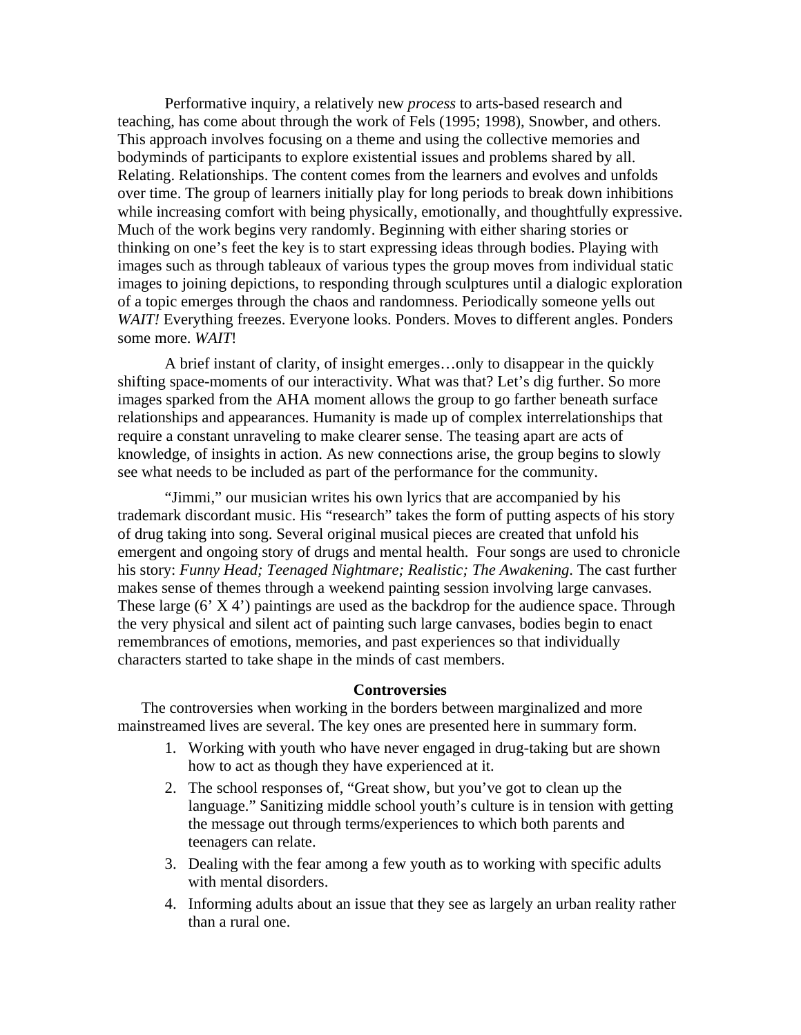Performative inquiry, a relatively new *process* to arts-based research and teaching, has come about through the work of Fels (1995; 1998), Snowber, and others. This approach involves focusing on a theme and using the collective memories and bodyminds of participants to explore existential issues and problems shared by all. Relating. Relationships. The content comes from the learners and evolves and unfolds over time. The group of learners initially play for long periods to break down inhibitions while increasing comfort with being physically, emotionally, and thoughtfully expressive. Much of the work begins very randomly. Beginning with either sharing stories or thinking on one's feet the key is to start expressing ideas through bodies. Playing with images such as through tableaux of various types the group moves from individual static images to joining depictions, to responding through sculptures until a dialogic exploration of a topic emerges through the chaos and randomness. Periodically someone yells out *WAIT!* Everything freezes. Everyone looks. Ponders. Moves to different angles. Ponders some more. *WAIT*!

A brief instant of clarity, of insight emerges…only to disappear in the quickly shifting space-moments of our interactivity. What was that? Let's dig further. So more images sparked from the AHA moment allows the group to go farther beneath surface relationships and appearances. Humanity is made up of complex interrelationships that require a constant unraveling to make clearer sense. The teasing apart are acts of knowledge, of insights in action. As new connections arise, the group begins to slowly see what needs to be included as part of the performance for the community.

"Jimmi," our musician writes his own lyrics that are accompanied by his trademark discordant music. His "research" takes the form of putting aspects of his story of drug taking into song. Several original musical pieces are created that unfold his emergent and ongoing story of drugs and mental health. Four songs are used to chronicle his story: *Funny Head; Teenaged Nightmare; Realistic; The Awakening*. The cast further makes sense of themes through a weekend painting session involving large canvases. These large (6' X 4') paintings are used as the backdrop for the audience space. Through the very physical and silent act of painting such large canvases, bodies begin to enact remembrances of emotions, memories, and past experiences so that individually characters started to take shape in the minds of cast members.

#### **Controversies**

The controversies when working in the borders between marginalized and more mainstreamed lives are several. The key ones are presented here in summary form.

- 1. Working with youth who have never engaged in drug-taking but are shown how to act as though they have experienced at it.
- 2. The school responses of, "Great show, but you've got to clean up the language." Sanitizing middle school youth's culture is in tension with getting the message out through terms/experiences to which both parents and teenagers can relate.
- 3. Dealing with the fear among a few youth as to working with specific adults with mental disorders.
- 4. Informing adults about an issue that they see as largely an urban reality rather than a rural one.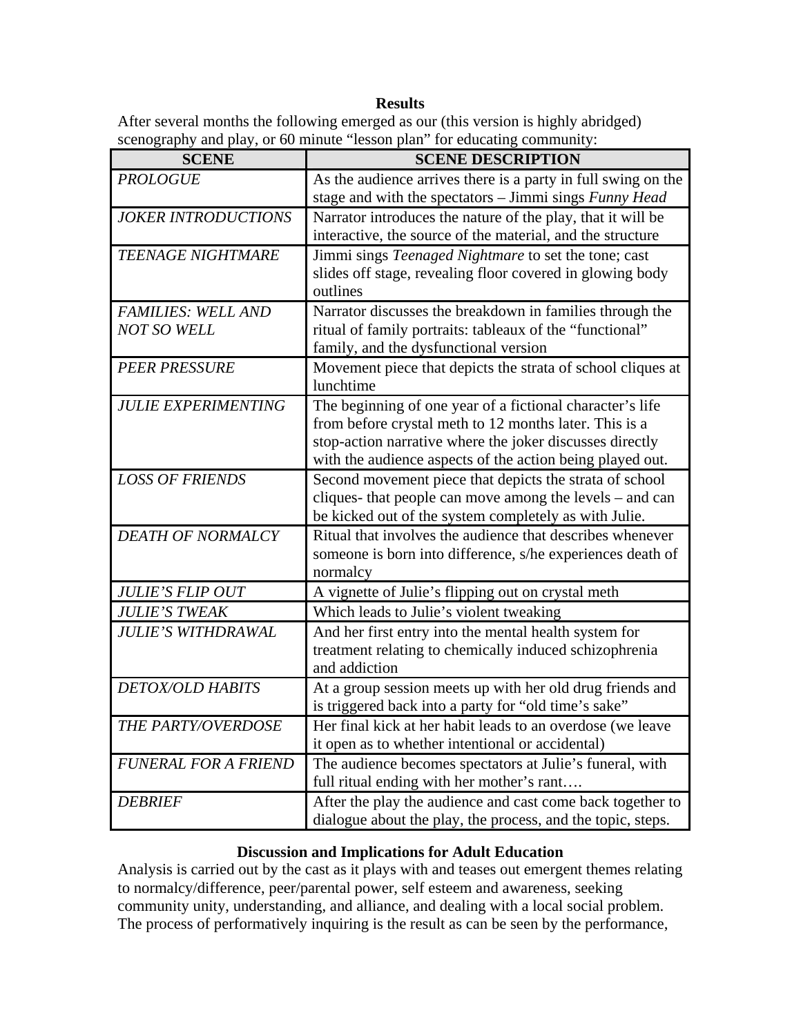**Results** 

After several months the following emerged as our (this version is highly abridged) scenography and play, or 60 minute "lesson plan" for educating community:

| <b>SCENE</b>                | <b>SCENE DESCRIPTION</b>                                                                                                |
|-----------------------------|-------------------------------------------------------------------------------------------------------------------------|
| <b>PROLOGUE</b>             | As the audience arrives there is a party in full swing on the<br>stage and with the spectators - Jimmi sings Funny Head |
| <b>JOKER INTRODUCTIONS</b>  | Narrator introduces the nature of the play, that it will be                                                             |
|                             | interactive, the source of the material, and the structure                                                              |
| <b>TEENAGE NIGHTMARE</b>    | Jimmi sings Teenaged Nightmare to set the tone; cast<br>slides off stage, revealing floor covered in glowing body       |
|                             | outlines                                                                                                                |
| <b>FAMILIES: WELL AND</b>   | Narrator discusses the breakdown in families through the                                                                |
| <b>NOT SO WELL</b>          | ritual of family portraits: tableaux of the "functional"                                                                |
|                             | family, and the dysfunctional version                                                                                   |
| <b>PEER PRESSURE</b>        | Movement piece that depicts the strata of school cliques at<br>lunchtime                                                |
| <b>JULIE EXPERIMENTING</b>  | The beginning of one year of a fictional character's life<br>from before crystal meth to 12 months later. This is a     |
|                             | stop-action narrative where the joker discusses directly                                                                |
|                             | with the audience aspects of the action being played out.                                                               |
| <b>LOSS OF FRIENDS</b>      | Second movement piece that depicts the strata of school                                                                 |
|                             | cliques- that people can move among the levels – and can                                                                |
|                             | be kicked out of the system completely as with Julie.                                                                   |
| <b>DEATH OF NORMALCY</b>    | Ritual that involves the audience that describes whenever                                                               |
|                             | someone is born into difference, s/he experiences death of<br>normalcy                                                  |
| <b>JULIE'S FLIP OUT</b>     | A vignette of Julie's flipping out on crystal meth                                                                      |
| <b>JULIE'S TWEAK</b>        | Which leads to Julie's violent tweaking                                                                                 |
| <b>JULIE'S WITHDRAWAL</b>   | And her first entry into the mental health system for                                                                   |
|                             | treatment relating to chemically induced schizophrenia<br>and addiction                                                 |
| <b>DETOX/OLD HABITS</b>     | At a group session meets up with her old drug friends and                                                               |
|                             | is triggered back into a party for "old time's sake"                                                                    |
| THE PARTY/OVERDOSE          | Her final kick at her habit leads to an overdose (we leave                                                              |
|                             | it open as to whether intentional or accidental)                                                                        |
| <b>FUNERAL FOR A FRIEND</b> | The audience becomes spectators at Julie's funeral, with                                                                |
|                             | full ritual ending with her mother's rant                                                                               |
| <b>DEBRIEF</b>              | After the play the audience and cast come back together to                                                              |
|                             | dialogue about the play, the process, and the topic, steps.                                                             |

## **Discussion and Implications for Adult Education**

Analysis is carried out by the cast as it plays with and teases out emergent themes relating to normalcy/difference, peer/parental power, self esteem and awareness, seeking community unity, understanding, and alliance, and dealing with a local social problem. The process of performatively inquiring is the result as can be seen by the performance,